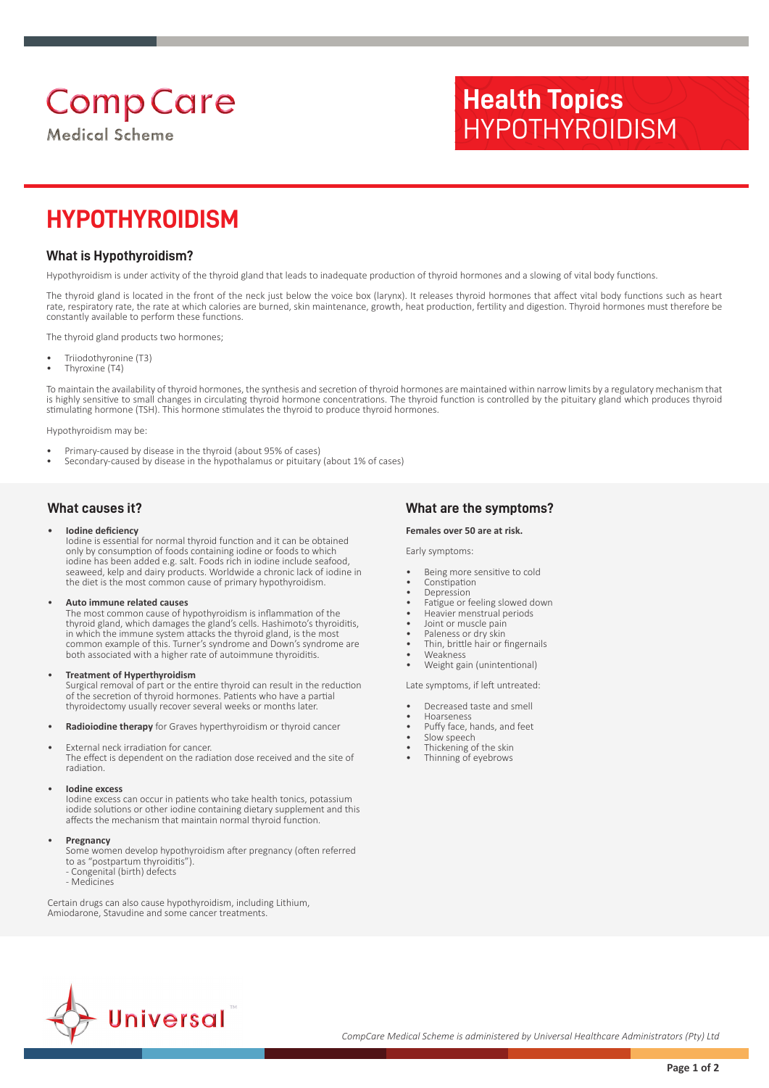# **Comp Care**

**Medical Scheme** 

# **Health Topics** HYPOTHYROIDISM

# **HYPOTHYROIDISM**

# **What is Hypothyroidism?**

Hypothyroidism is under activity of the thyroid gland that leads to inadequate production of thyroid hormones and a slowing of vital body functions.

The thyroid gland is located in the front of the neck just below the voice box (larynx). It releases thyroid hormones that affect vital body functions such as heart rate, respiratory rate, the rate at which calories are burned, skin maintenance, growth, heat production, fertility and digestion. Thyroid hormones must therefore be constantly available to perform these functions.

The thyroid gland products two hormones;

- Triiodothyronine (T3)
- Thyroxine (T4)

To maintain the availability of thyroid hormones, the synthesis and secretion of thyroid hormones are maintained within narrow limits by a regulatory mechanism that is highly sensitive to small changes in circulating thyroid hormone concentrations. The thyroid function is controlled by the pituitary gland which produces thyroid stimulating hormone (TSH). This hormone stimulates the thyroid to produce thyroid hormones

Hypothyroidism may be:

- Primary-caused by disease in the thyroid (about 95% of cases)
- Secondary-caused by disease in the hypothalamus or pituitary (about 1% of cases)
- **What causes it?**

#### • **Iodine deficiency**

Iodine is essential for normal thyroid function and it can be obtained only by consumption of foods containing iodine or foods to which iodine has been added e.g. salt. Foods rich in iodine include seafood, seaweed, kelp and dairy products. Worldwide a chronic lack of iodine in the diet is the most common cause of primary hypothyroidism.

#### • **Auto immune related causes**

The most common cause of hypothyroidism is inflammation of the thyroid gland, which damages the gland's cells. Hashimoto's thyroiditis, in which the immune system attacks the thyroid gland, is the most common example of this. Turner's syndrome and Down's syndrome are both associated with a higher rate of autoimmune thyroiditis.

#### • **Treatment of Hyperthyroidism**

Surgical removal of part or the entire thyroid can result in the reduction of the secretion of thyroid hormones. Patients who have a partial thyroidectomy usually recover several weeks or months later.

• **Radioiodine therapy** for Graves hyperthyroidism or thyroid cancer

External neck irradiation for cancer. The effect is dependent on the radiation dose received and the site of radiation.

#### • **Iodine excess**

Iodine excess can occur in patients who take health tonics, potassium iodide solutions or other iodine containing dietary supplement and this affects the mechanism that maintain normal thyroid function.

#### • **Pregnancy**

Some women develop hypothyroidism after pregnancy (often referred to as "postpartum thyroiditis").

- Congenital (birth) defects

- Medicines

Certain drugs can also cause hypothyroidism, including Lithium, Amiodarone, Stavudine and some cancer treatments.

## **What are the symptoms?**

#### **Females over 50 are at risk.**

Early symptoms:

- Being more sensitive to cold
- Constipation **Depression**
- Fatigue or feeling slowed down
- Heavier menstrual periods
- Joint or muscle pain
- Paleness or dry skin
- Thin, brittle hair or fingernails
- Weakness • Weight gain (unintentional)

Late symptoms, if left untreated:

- Decreased taste and smell
- Hoarseness
- Puffy face, hands, and feet
- Slow speech
- Thickening of the skin
- Thinning of eyebrows